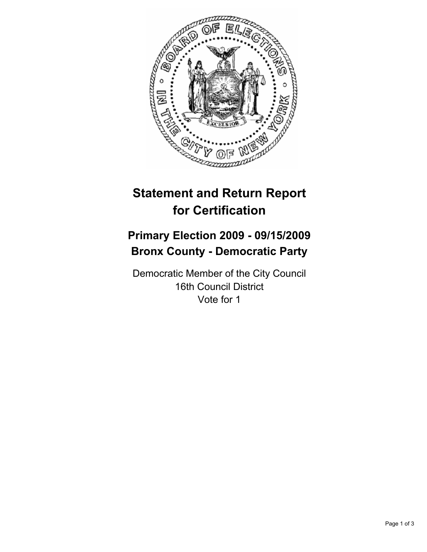

# **Statement and Return Report for Certification**

## **Primary Election 2009 - 09/15/2009 Bronx County - Democratic Party**

Democratic Member of the City Council 16th Council District Vote for 1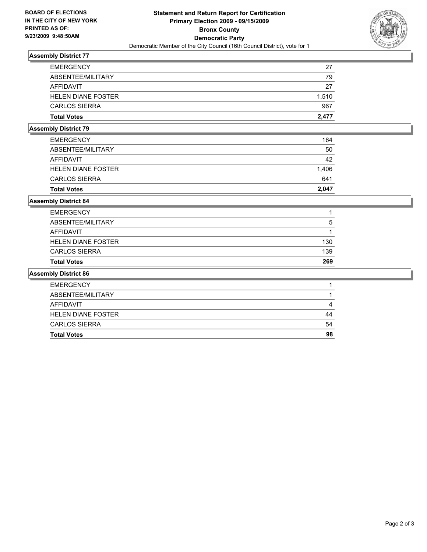

## **Assembly District 77**

| <b>EMERGENCY</b>          | 27    |
|---------------------------|-------|
| ABSENTEE/MILITARY         | 79    |
| AFFIDAVIT                 | 27    |
| <b>HELEN DIANE FOSTER</b> | 1.510 |
| <b>CARLOS SIERRA</b>      | 967   |
| <b>Total Votes</b>        | 2.477 |

#### **Assembly District 79**

| <b>Total Votes</b>        | 2.047 |
|---------------------------|-------|
| <b>CARLOS SIERRA</b>      | 641   |
| <b>HELEN DIANE FOSTER</b> | 1.406 |
| AFFIDAVIT                 | 42    |
| ABSENTEE/MILITARY         | 50    |
| <b>EMERGENCY</b>          | 164   |
|                           |       |

## **Assembly District 84**

| <b>Total Votes</b>        | 269 |
|---------------------------|-----|
| <b>CARLOS SIERRA</b>      | 139 |
| <b>HELEN DIANE FOSTER</b> | 130 |
| AFFIDAVIT                 |     |
| ABSENTEE/MILITARY         | 5   |
| <b>EMERGENCY</b>          |     |

#### **Assembly District 86**

| <b>EMERGENCY</b>          |    |
|---------------------------|----|
| ABSENTEE/MILITARY         |    |
| AFFIDAVIT                 |    |
| <b>HELEN DIANE FOSTER</b> | 44 |
| <b>CARLOS SIERRA</b>      | 54 |
| <b>Total Votes</b>        | 98 |